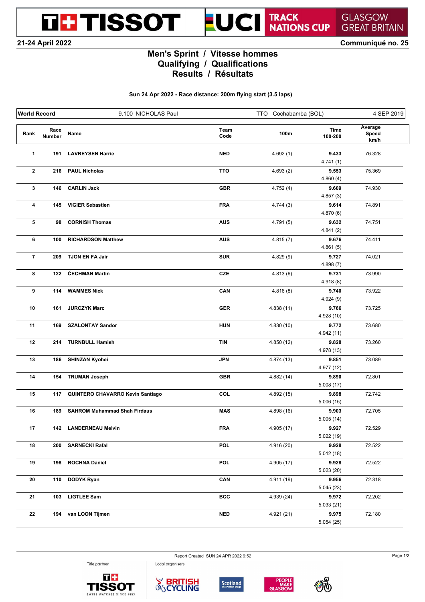**THE TISSOT** 

## TRACK<br>NATIONS CUP **GLASGOW GREAT BRITAIN**

**21-24 April 2022 Communiqué no. 25**

## **Men's Sprint / Vitesse hommes Qualifying / Qualifications Results / Résultats**

UCI

**Sun 24 Apr 2022 - Race distance: 200m flying start (3.5 laps)**

| <b>World Record</b> |                | 9.100 NICHOLAS Paul                 |              | TTO Cochabamba (BOL) |                     | 4 SEP 2019               |
|---------------------|----------------|-------------------------------------|--------------|----------------------|---------------------|--------------------------|
| Rank                | Race<br>Number | Name                                | Team<br>Code | 100m                 | Time<br>100-200     | Average<br>Speed<br>km/h |
| 1                   | 191            | <b>LAVREYSEN Harrie</b>             | <b>NED</b>   | 4.692(1)             | 9.433<br>4.741(1)   | 76.328                   |
| $\mathbf{2}$        | 216            | <b>PAUL Nicholas</b>                | <b>TTO</b>   | 4.693(2)             | 9.553<br>4.860(4)   | 75.369                   |
| 3                   | 146            | <b>CARLIN Jack</b>                  | <b>GBR</b>   | 4.752(4)             | 9.609<br>4.857(3)   | 74.930                   |
| 4                   | 145            | <b>VIGIER Sebastien</b>             | <b>FRA</b>   | 4.744(3)             | 9.614<br>4.870(6)   | 74.891                   |
| 5                   | 98             | <b>CORNISH Thomas</b>               | <b>AUS</b>   | 4.791(5)             | 9.632<br>4.841(2)   | 74.751                   |
| 6                   | 100            | <b>RICHARDSON Matthew</b>           | <b>AUS</b>   | 4.815(7)             | 9.676<br>4.861(5)   | 74.411                   |
| $\overline{7}$      | 209            | TJON EN FA Jair                     | <b>SUR</b>   | 4.829(9)             | 9.727<br>4.898(7)   | 74.021                   |
| 8                   | 122            | ČECHMAN Martin                      | <b>CZE</b>   | 4.813(6)             | 9.731<br>4.918(8)   | 73.990                   |
| 9                   | 114            | <b>WAMMES Nick</b>                  | CAN          | 4.816(8)             | 9.740<br>4.924(9)   | 73.922                   |
| 10                  | 161            | <b>JURCZYK Marc</b>                 | <b>GER</b>   | 4.838(11)            | 9.766<br>4.928 (10) | 73.725                   |
| 11                  | 169            | <b>SZALONTAY Sandor</b>             | <b>HUN</b>   | 4.830 (10)           | 9.772<br>4.942 (11) | 73.680                   |
| 12                  | 214            | <b>TURNBULL Hamish</b>              | <b>TIN</b>   | 4.850 (12)           | 9.828<br>4.978 (13) | 73.260                   |
| 13                  | 186            | <b>SHINZAN Kyohei</b>               | <b>JPN</b>   | 4.874 (13)           | 9.851<br>4.977 (12) | 73.089                   |
| 14                  | 154            | <b>TRUMAN Joseph</b>                | <b>GBR</b>   | 4.882(14)            | 9.890<br>5.008(17)  | 72.801                   |
| 15                  | 117            | QUINTERO CHAVARRO Kevin Santiago    | COL          | 4.892(15)            | 9.898<br>5.006(15)  | 72.742                   |
| 16                  | 189            | <b>SAHROM Muhammad Shah Firdaus</b> | <b>MAS</b>   | 4.898(16)            | 9.903<br>5.005(14)  | 72.705                   |
| 17                  | 142            | <b>LANDERNEAU Melvin</b>            | <b>FRA</b>   | 4.905 (17)           | 9.927<br>5.022(19)  | 72.529                   |
| 18                  | 200            | <b>SARNECKI Rafal</b>               | <b>POL</b>   | 4.916 (20)           | 9.928<br>5.012(18)  | 72.522                   |
| 19                  | 198            | <b>ROCHNA Daniel</b>                | <b>POL</b>   | 4.905(17)            | 9.928<br>5.023(20)  | 72.522                   |
| 20                  | 110            | <b>DODYK Ryan</b>                   | CAN          | 4.911(19)            | 9.956<br>5.045(23)  | 72.318                   |
| 21                  | 103            | <b>LIGTLEE Sam</b>                  | <b>BCC</b>   | 4.939(24)            | 9.972<br>5.033(21)  | 72.202                   |
| 22                  |                | 194 van LOON Tijmen                 | <b>NED</b>   | 4.921(21)            | 9.975<br>5.054(25)  | 72.180                   |

Title partner





Local organisers





Report Created SUN 24 APR 2022 9:52